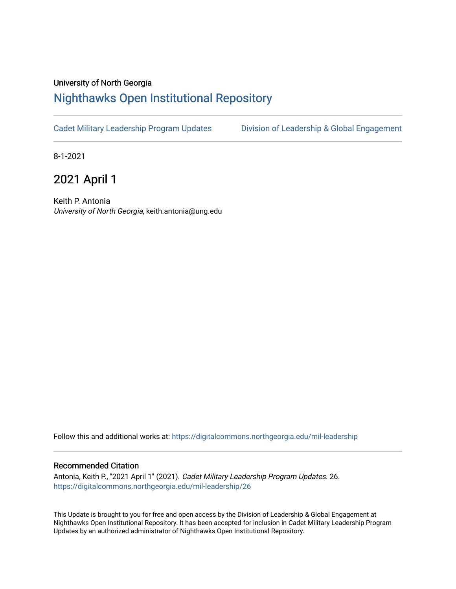## University of North Georgia

### [Nighthawks Open Institutional Repository](https://digitalcommons.northgeorgia.edu/)

[Cadet Military Leadership Program Updates](https://digitalcommons.northgeorgia.edu/mil-leadership) Division of Leadership & Global Engagement

8-1-2021

2021 April 1

Keith P. Antonia University of North Georgia, keith.antonia@ung.edu

Follow this and additional works at: [https://digitalcommons.northgeorgia.edu/mil-leadership](https://digitalcommons.northgeorgia.edu/mil-leadership?utm_source=digitalcommons.northgeorgia.edu%2Fmil-leadership%2F26&utm_medium=PDF&utm_campaign=PDFCoverPages) 

#### Recommended Citation

Antonia, Keith P., "2021 April 1" (2021). Cadet Military Leadership Program Updates. 26. [https://digitalcommons.northgeorgia.edu/mil-leadership/26](https://digitalcommons.northgeorgia.edu/mil-leadership/26?utm_source=digitalcommons.northgeorgia.edu%2Fmil-leadership%2F26&utm_medium=PDF&utm_campaign=PDFCoverPages)

This Update is brought to you for free and open access by the Division of Leadership & Global Engagement at Nighthawks Open Institutional Repository. It has been accepted for inclusion in Cadet Military Leadership Program Updates by an authorized administrator of Nighthawks Open Institutional Repository.